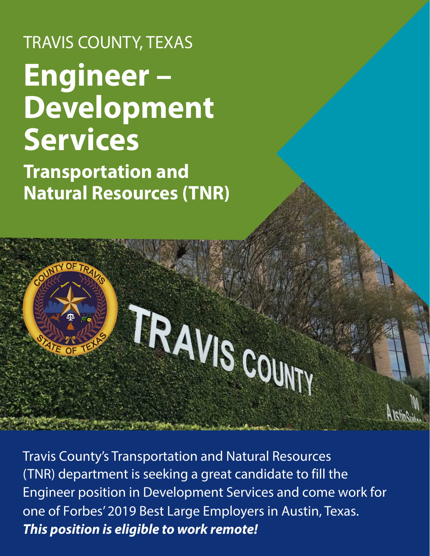# TRAVIS COUNTY, TEXAS **Engineer – Development Services**

**Transportation and Natural Resources (TNR)**

# TRAVISCOUTY

Travis County's Transportation and Natural Resources (TNR) department is seeking a great candidate to fill the Engineer position in Development Services and come work for one of Forbes' 2019 Best Large Employers in Austin, Texas. *This position is eligible to work remote!*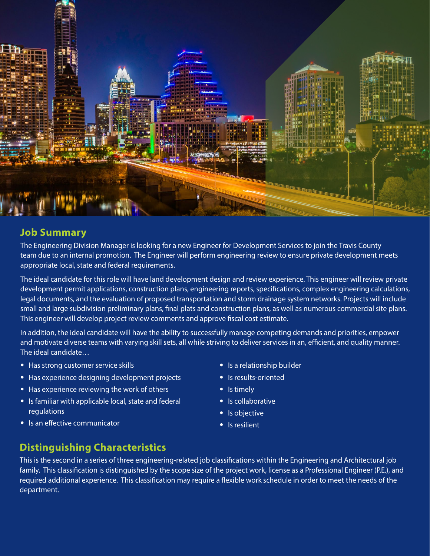

### **Job Summary**

The Engineering Division Manager is looking for a new Engineer for Development Services to join the Travis County team due to an internal promotion. The Engineer will perform engineering review to ensure private development meets appropriate local, state and federal requirements.

The ideal candidate for this role will have land development design and review experience. This engineer will review private development permit applications, construction plans, engineering reports, specifications, complex engineering calculations, legal documents, and the evaluation of proposed transportation and storm drainage system networks. Projects will include small and large subdivision preliminary plans, final plats and construction plans, as well as numerous commercial site plans. This engineer will develop project review comments and approve fiscal cost estimate.

In addition, the ideal candidate will have the ability to successfully manage competing demands and priorities, empower and motivate diverse teams with varying skill sets, all while striving to deliver services in an, efficient, and quality manner. The ideal candidate…

- Has strong customer service skills
- Has experience designing development projects
- Has experience reviewing the work of others
- Is familiar with applicable local, state and federal regulations
- Is an effective communicator
- Is a relationship builder
- Is results-oriented
- Is timely
- Is collaborative
- Is objective
- Is resilient

### **Distinguishing Characteristics**

This is the second in a series of three engineering-related job classifications within the Engineering and Architectural job family. This classification is distinguished by the scope size of the project work, license as a Professional Engineer (P.E.), and required additional experience. This classification may require a flexible work schedule in order to meet the needs of the department.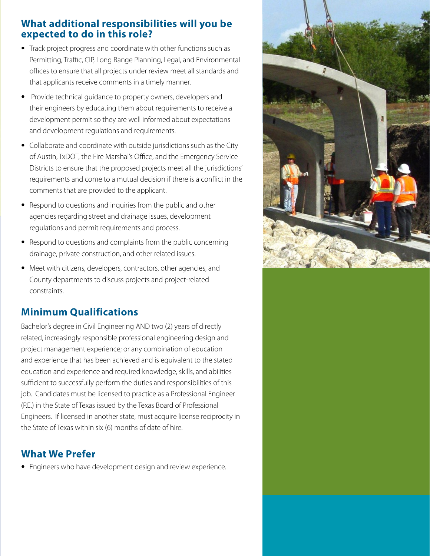### **What additional responsibilities will you be expected to do in this role?**

- Track project progress and coordinate with other functions such as Permitting, Traffic, CIP, Long Range Planning, Legal, and Environmental offices to ensure that all projects under review meet all standards and that applicants receive comments in a timely manner.
- Provide technical guidance to property owners, developers and their engineers by educating them about requirements to receive a development permit so they are well informed about expectations and development regulations and requirements.
- Collaborate and coordinate with outside jurisdictions such as the City of Austin, TxDOT, the Fire Marshal's Office, and the Emergency Service Districts to ensure that the proposed projects meet all the jurisdictions' requirements and come to a mutual decision if there is a conflict in the comments that are provided to the applicant.
- Respond to questions and inquiries from the public and other agencies regarding street and drainage issues, development regulations and permit requirements and process.
- Respond to questions and complaints from the public concerning drainage, private construction, and other related issues.
- Meet with citizens, developers, contractors, other agencies, and County departments to discuss projects and project-related constraints.

### **Minimum Qualifications**

Bachelor's degree in Civil Engineering AND two (2) years of directly related, increasingly responsible professional engineering design and project management experience; or any combination of education and experience that has been achieved and is equivalent to the stated education and experience and required knowledge, skills, and abilities sufficient to successfully perform the duties and responsibilities of this job. Candidates must be licensed to practice as a Professional Engineer (P.E.) in the State of Texas issued by the Texas Board of Professional Engineers. If licensed in another state, must acquire license reciprocity in the State of Texas within six (6) months of date of hire.

### **What We Prefer**

• Engineers who have development design and review experience.